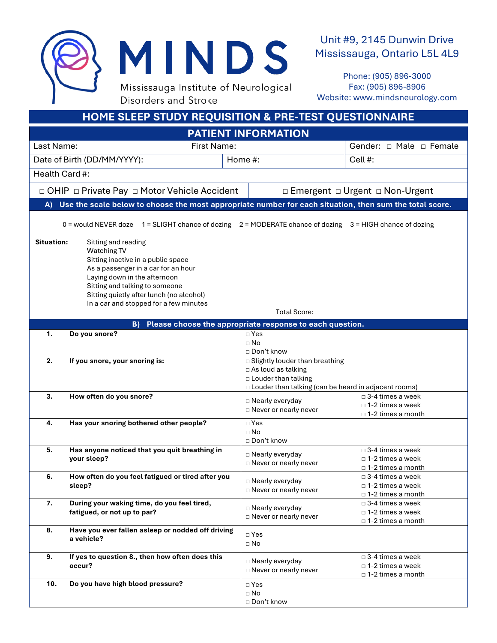

Unit #9, 2145 Dunwin Drive Mississauga, Ontario L5L 4L9

Phone: (905) 896-3000 Fax: (905) 896-8906 Website: www.mindsneurology.com

| <b>HOME SLEEP STUDY REQUISITION &amp; PRE-TEST QUESTIONNAIRE</b> |                                                                                                                                                                                                                                                                         |                                                                                                                                                            |                                                                                          |  |
|------------------------------------------------------------------|-------------------------------------------------------------------------------------------------------------------------------------------------------------------------------------------------------------------------------------------------------------------------|------------------------------------------------------------------------------------------------------------------------------------------------------------|------------------------------------------------------------------------------------------|--|
| <b>PATIENT INFORMATION</b>                                       |                                                                                                                                                                                                                                                                         |                                                                                                                                                            |                                                                                          |  |
| <b>First Name:</b><br>Last Name:                                 |                                                                                                                                                                                                                                                                         |                                                                                                                                                            | Gender: $\Box$ Male $\Box$ Female                                                        |  |
| Date of Birth (DD/MM/YYYY):                                      |                                                                                                                                                                                                                                                                         | Home #:                                                                                                                                                    | Cell #:                                                                                  |  |
|                                                                  |                                                                                                                                                                                                                                                                         |                                                                                                                                                            |                                                                                          |  |
| Health Card #:                                                   |                                                                                                                                                                                                                                                                         |                                                                                                                                                            |                                                                                          |  |
|                                                                  | □ OHIP □ Private Pay □ Motor Vehicle Accident                                                                                                                                                                                                                           |                                                                                                                                                            | □ Emergent □ Urgent □ Non-Urgent                                                         |  |
|                                                                  | A) Use the scale below to choose the most appropriate number for each situation, then sum the total score.                                                                                                                                                              |                                                                                                                                                            |                                                                                          |  |
|                                                                  |                                                                                                                                                                                                                                                                         |                                                                                                                                                            |                                                                                          |  |
|                                                                  | 0 = would NEVER doze 1 = SLIGHT chance of dozing 2 = MODERATE chance of dozing 3 = HIGH chance of dozing                                                                                                                                                                |                                                                                                                                                            |                                                                                          |  |
| <b>Situation:</b>                                                | Sitting and reading<br>Watching TV<br>Sitting inactive in a public space<br>As a passenger in a car for an hour<br>Laying down in the afternoon<br>Sitting and talking to someone<br>Sitting quietly after lunch (no alcohol)<br>In a car and stopped for a few minutes |                                                                                                                                                            |                                                                                          |  |
| <b>Total Score:</b>                                              |                                                                                                                                                                                                                                                                         |                                                                                                                                                            |                                                                                          |  |
| Please choose the appropriate response to each question.<br>B)   |                                                                                                                                                                                                                                                                         |                                                                                                                                                            |                                                                                          |  |
| 1.                                                               | Do you snore?                                                                                                                                                                                                                                                           | $\Box$ Yes<br>$\Box$ No<br>□ Don't know                                                                                                                    |                                                                                          |  |
| 2.                                                               | If you snore, your snoring is:                                                                                                                                                                                                                                          | □ Slightly louder than breathing<br>$\Box$ As loud as talking<br>$\Box$ Louder than talking<br>$\Box$ Louder than talking (can be heard in adjacent rooms) |                                                                                          |  |
| 3.                                                               | How often do you snore?                                                                                                                                                                                                                                                 | □ Nearly everyday<br>□ Never or nearly never                                                                                                               | $\Box$ 3-4 times a week<br>$\Box$ 1-2 times a week<br>□ 1-2 times a month                |  |
| 4.                                                               | Has your snoring bothered other people?                                                                                                                                                                                                                                 | $\Box$ Yes<br>$\Box$ No<br>□ Don't know                                                                                                                    |                                                                                          |  |
| 5.                                                               | Has anyone noticed that you quit breathing in<br>your sleep?                                                                                                                                                                                                            | □ Nearly everyday<br>$\Box$ Never or nearly never                                                                                                          | $\Box$ 3-4 times a week<br>$\Box$ 1-2 times a week<br>□ 1-2 times a month                |  |
| 6.                                                               | How often do you feel fatigued or tired after you<br>sleep?                                                                                                                                                                                                             | □ Nearly everyday<br>$\Box$ Never or nearly never                                                                                                          | $\square$ 3-4 times a week<br>$\scriptstyle\Box$ 1-2 times a week<br>□ 1-2 times a month |  |
| 7.                                                               | During your waking time, do you feel tired,<br>fatigued, or not up to par?                                                                                                                                                                                              | □ Nearly everyday<br>□ Never or nearly never                                                                                                               | $\Box$ 3-4 times a week<br>$\Box$ 1-2 times a week<br>□ 1-2 times a month                |  |
| 8.                                                               | Have you ever fallen asleep or nodded off driving<br>a vehicle?                                                                                                                                                                                                         | $\square$ Yes<br>$\Box$ No                                                                                                                                 |                                                                                          |  |
| 9.                                                               | If yes to question 8., then how often does this<br>occur?                                                                                                                                                                                                               | □ Nearly everyday<br>□ Never or nearly never                                                                                                               | $\Box$ 3-4 times a week<br>$\Box$ 1-2 times a week<br>□ 1-2 times a month                |  |
| 10.                                                              | Do you have high blood pressure?                                                                                                                                                                                                                                        | $\square$ Yes<br>$\square$ No<br>□ Don't know                                                                                                              |                                                                                          |  |